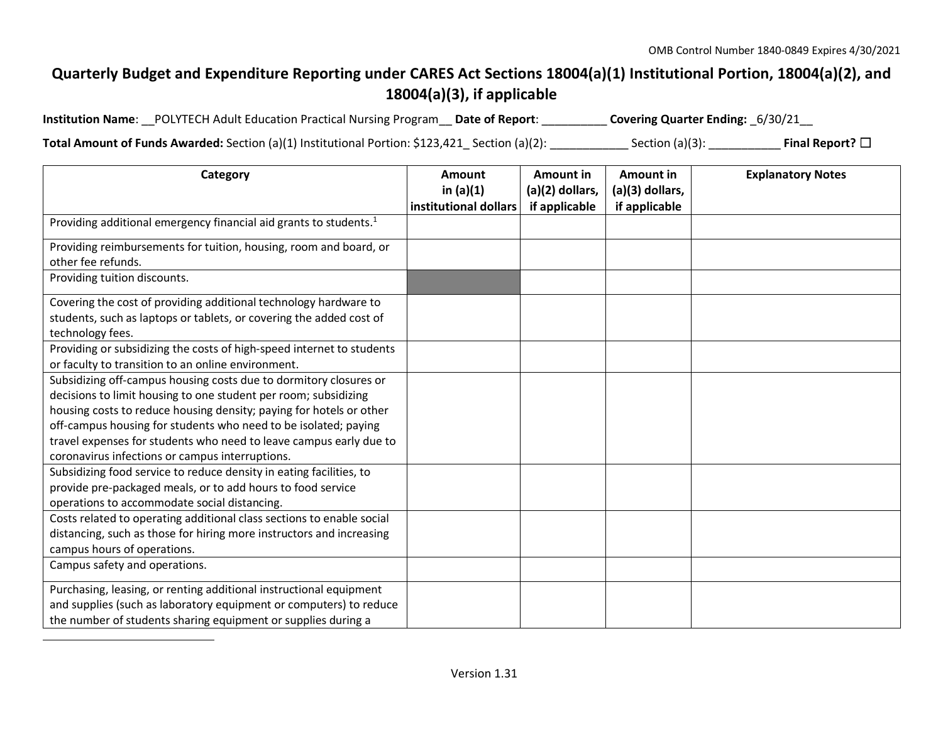## **Quarterly Budget and Expenditure Reporting under CARES Act Sections 18004(a)(1) Institutional Portion, 18004(a)(2), and 18004(a)(3), if applicable**

| Institution Name: __POLYTECH Adult Education Practical Nursing Program __ Date of Report: _ |  | Covering Quarter Ending: _6/30/21__ |
|---------------------------------------------------------------------------------------------|--|-------------------------------------|
|---------------------------------------------------------------------------------------------|--|-------------------------------------|

**Total Amount of Funds Awarded:** Section (a)(1) Institutional Portion: \$123,421\_ Section (a)(2): \_\_\_\_\_\_\_\_\_\_\_\_ Section (a)(3): \_\_\_\_\_\_\_\_\_\_\_ **Final Report?** ☐

| Category                                                                      | <b>Amount</b>         | <b>Amount in</b> | Amount in       | <b>Explanatory Notes</b> |
|-------------------------------------------------------------------------------|-----------------------|------------------|-----------------|--------------------------|
|                                                                               | in $(a)(1)$           | (a)(2) dollars,  | (a)(3) dollars, |                          |
|                                                                               | institutional dollars | if applicable    | if applicable   |                          |
| Providing additional emergency financial aid grants to students. <sup>1</sup> |                       |                  |                 |                          |
| Providing reimbursements for tuition, housing, room and board, or             |                       |                  |                 |                          |
| other fee refunds.                                                            |                       |                  |                 |                          |
| Providing tuition discounts.                                                  |                       |                  |                 |                          |
| Covering the cost of providing additional technology hardware to              |                       |                  |                 |                          |
| students, such as laptops or tablets, or covering the added cost of           |                       |                  |                 |                          |
| technology fees.                                                              |                       |                  |                 |                          |
| Providing or subsidizing the costs of high-speed internet to students         |                       |                  |                 |                          |
| or faculty to transition to an online environment.                            |                       |                  |                 |                          |
| Subsidizing off-campus housing costs due to dormitory closures or             |                       |                  |                 |                          |
| decisions to limit housing to one student per room; subsidizing               |                       |                  |                 |                          |
| housing costs to reduce housing density; paying for hotels or other           |                       |                  |                 |                          |
| off-campus housing for students who need to be isolated; paying               |                       |                  |                 |                          |
| travel expenses for students who need to leave campus early due to            |                       |                  |                 |                          |
| coronavirus infections or campus interruptions.                               |                       |                  |                 |                          |
| Subsidizing food service to reduce density in eating facilities, to           |                       |                  |                 |                          |
| provide pre-packaged meals, or to add hours to food service                   |                       |                  |                 |                          |
| operations to accommodate social distancing.                                  |                       |                  |                 |                          |
| Costs related to operating additional class sections to enable social         |                       |                  |                 |                          |
| distancing, such as those for hiring more instructors and increasing          |                       |                  |                 |                          |
| campus hours of operations.                                                   |                       |                  |                 |                          |
| Campus safety and operations.                                                 |                       |                  |                 |                          |
| Purchasing, leasing, or renting additional instructional equipment            |                       |                  |                 |                          |
| and supplies (such as laboratory equipment or computers) to reduce            |                       |                  |                 |                          |
| the number of students sharing equipment or supplies during a                 |                       |                  |                 |                          |